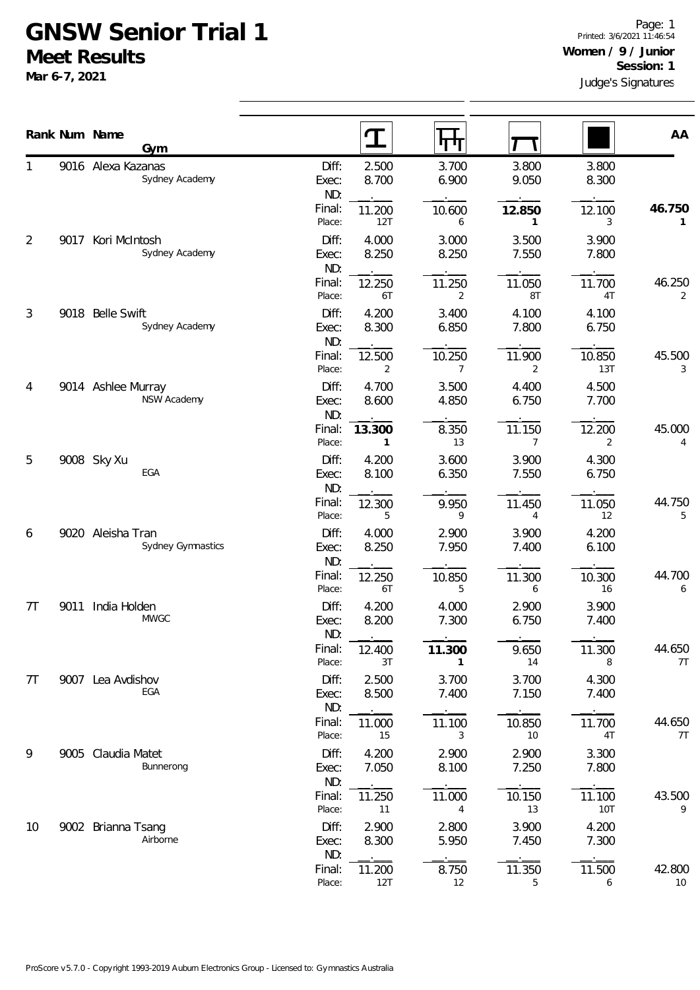## **GNSW Senior Trial 1 Meet Results**

**Mar 6-7, 2021**

|    |      | Rank Num Name<br>Gym                     |                       | $\mathbf T$              | П                        |                          |                      | AA           |
|----|------|------------------------------------------|-----------------------|--------------------------|--------------------------|--------------------------|----------------------|--------------|
| 1  |      | 9016 Alexa Kazanas<br>Sydney Academy     | Diff:<br>Exec:<br>ND: | 2.500<br>8.700           | 3.700<br>6.900           | 3.800<br>9.050           | 3.800<br>8.300       |              |
|    |      |                                          | Final:<br>Place:      | 11.200<br>12T            | 10.600<br>6              | 12.850<br>1              | 12.100<br>3          | 46.750<br>1  |
| 2  | 9017 | Kori McIntosh<br>Sydney Academy          | Diff:<br>Exec:<br>ND: | 4.000<br>8.250           | 3.000<br>8.250           | 3.500<br>7.550           | 3.900<br>7.800       |              |
|    |      |                                          | Final:<br>Place:      | 12.250<br>6T             | 11.250<br>$\overline{2}$ | 11.050<br>8T             | 11.700<br>4T         | 46.250<br>2  |
| 3  |      | 9018 Belle Swift<br>Sydney Academy       | Diff:<br>Exec:<br>ND: | 4.200<br>8.300           | 3.400<br>6.850           | 4.100<br>7.800           | 4.100<br>6.750       |              |
|    |      |                                          | Final:<br>Place:      | 12.500<br>$\overline{2}$ | 10.250<br>$\overline{7}$ | 11.900<br>2              | 10.850<br>13T        | 45.500<br>3  |
| 4  |      | 9014 Ashlee Murray<br><b>NSW Academy</b> | Diff:<br>Exec:<br>ND: | 4.700<br>8.600           | 3.500<br>4.850           | 4.400<br>6.750           | 4.500<br>7.700       |              |
|    |      |                                          | Final:<br>Place:      | 13.300<br>1              | 8.350<br>13              | 11.150<br>$\overline{7}$ | 12.200<br>2          | 45.000<br>4  |
| 5  |      | 9008 Sky Xu<br>EGA                       | Diff:<br>Exec:<br>ND: | 4.200<br>8.100           | 3.600<br>6.350           | 3.900<br>7.550           | 4.300<br>6.750       |              |
|    |      |                                          | Final:<br>Place:      | 12.300<br>5              | 9.950<br>9               | 11.450<br>4              | 11.050<br>12         | 44.750<br>5  |
| 6  |      | 9020 Aleisha Tran<br>Sydney Gymnastics   | Diff:<br>Exec:<br>ND: | 4.000<br>8.250           | 2.900<br>7.950           | 3.900<br>7.400           | 4.200<br>6.100       |              |
|    |      |                                          | Final:<br>Place:      | 12.250<br>6T             | 10.850<br>5              | 11.300<br>6              | 10.300<br>16         | 44.700<br>6  |
| 7Т | 9011 | India Holden<br><b>MWGC</b>              | Diff:<br>Exec:<br>ND: | 4.200<br>8.200           | 4.000<br>7.300           | 2.900<br>6.750           | 3.900<br>7.400       |              |
|    |      |                                          | Final:<br>Place:      | 12.400<br>3T             | 11.300<br>$\mathbf{1}$   | 9.650<br>14              | 11.300<br>8          | 44.650<br>7T |
| 7T |      | 9007 Lea Avdishov<br>EGA                 | Diff:<br>Exec:<br>ND: | 2.500<br>8.500           | 3.700<br>7.400           | 3.700<br>7.150           | 4.300<br>7.400       |              |
|    |      |                                          | Final:<br>Place:      | 11.000<br>15             | 11.100<br>3              | 10.850<br>10             | 11.700<br>4T         | 44.650<br>7T |
| 9  |      | 9005 Claudia Matet<br>Bunnerong          | Diff:<br>Exec:<br>ND: | 4.200<br>7.050           | 2.900<br>8.100           | 2.900<br>7.250           | 3.300<br>7.800       |              |
|    |      |                                          | Final:<br>Place:      | 11.250<br>11             | 11.000<br>$\overline{4}$ | 10.150<br>13             | 11.100<br><b>10T</b> | 43.500<br>9  |
| 10 |      | 9002 Brianna Tsang<br>Airborne           | Diff:<br>Exec:<br>ND: | 2.900<br>8.300           | 2.800<br>5.950           | 3.900<br>7.450           | 4.200<br>7.300       |              |
|    |      |                                          | Final:<br>Place:      | 11.200<br>12T            | 8.750<br>12              | 11.350<br>5              | 11.500<br>6          | 42.800<br>10 |